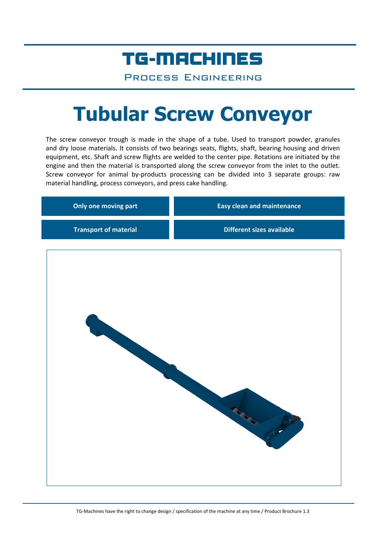## TG-MACHINES

Process Engineering

# **Tubular Screw Conveyor**

The screw conveyor trough is made in the shape of a tube. Used to transport powder, granules and dry loose materials. It consists of two bearings seats, flights, shaft, bearing housing and driven equipment, etc. Shaft and screw flights are welded to the center pipe. Rotations are initiated by the engine and then the material is transported along the screw conveyor from the inlet to the outlet. Screw conveyor for animal by-products processing can be divided into 3 separate groups: raw material handling, process conveyors, and press cake handling.